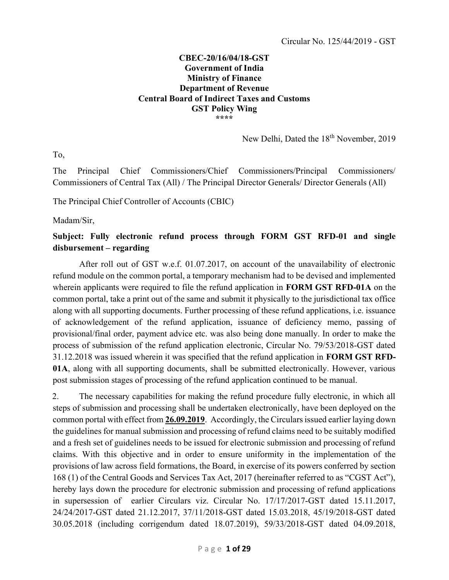#### CBEC-20/16/04/18-GST Government of India Ministry of Finance Department of Revenue Central Board of Indirect Taxes and Customs GST Policy Wing \*\*\*\*

New Delhi, Dated the 18<sup>th</sup> November, 2019

To,

The Principal Chief Commissioners/Chief Commissioners/Principal Commissioners/ Commissioners of Central Tax (All) / The Principal Director Generals/ Director Generals (All)

The Principal Chief Controller of Accounts (CBIC)

Madam/Sir,

# Subject: Fully electronic refund process through FORM GST RFD-01 and single disbursement – regarding

After roll out of GST w.e.f. 01.07.2017, on account of the unavailability of electronic refund module on the common portal, a temporary mechanism had to be devised and implemented wherein applicants were required to file the refund application in FORM GST RFD-01A on the common portal, take a print out of the same and submit it physically to the jurisdictional tax office along with all supporting documents. Further processing of these refund applications, i.e. issuance of acknowledgement of the refund application, issuance of deficiency memo, passing of provisional/final order, payment advice etc. was also being done manually. In order to make the process of submission of the refund application electronic, Circular No. 79/53/2018-GST dated 31.12.2018 was issued wherein it was specified that the refund application in FORM GST RFD-01A, along with all supporting documents, shall be submitted electronically. However, various post submission stages of processing of the refund application continued to be manual.

2. The necessary capabilities for making the refund procedure fully electronic, in which all steps of submission and processing shall be undertaken electronically, have been deployed on the common portal with effect from 26.09.2019. Accordingly, the Circulars issued earlier laying down the guidelines for manual submission and processing of refund claims need to be suitably modified and a fresh set of guidelines needs to be issued for electronic submission and processing of refund claims. With this objective and in order to ensure uniformity in the implementation of the provisions of law across field formations, the Board, in exercise of its powers conferred by section 168 (1) of the Central Goods and Services Tax Act, 2017 (hereinafter referred to as "CGST Act"), hereby lays down the procedure for electronic submission and processing of refund applications in supersession of earlier Circulars viz. Circular No. 17/17/2017-GST dated 15.11.2017, 24/24/2017-GST dated 21.12.2017, 37/11/2018-GST dated 15.03.2018, 45/19/2018-GST dated 30.05.2018 (including corrigendum dated 18.07.2019), 59/33/2018-GST dated 04.09.2018,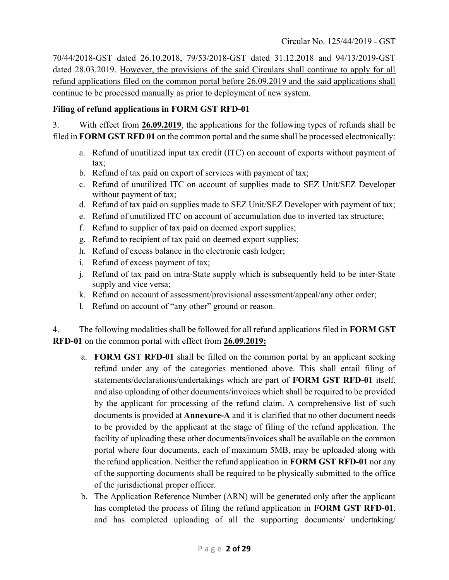70/44/2018-GST dated 26.10.2018, 79/53/2018-GST dated 31.12.2018 and 94/13/2019-GST dated 28.03.2019. However, the provisions of the said Circulars shall continue to apply for all refund applications filed on the common portal before 26.09.2019 and the said applications shall continue to be processed manually as prior to deployment of new system.

### Filing of refund applications in FORM GST RFD-01

3. With effect from 26.09.2019, the applications for the following types of refunds shall be filed in FORM GST RFD 01 on the common portal and the same shall be processed electronically:

- a. Refund of unutilized input tax credit (ITC) on account of exports without payment of tax;
- b. Refund of tax paid on export of services with payment of tax;
- c. Refund of unutilized ITC on account of supplies made to SEZ Unit/SEZ Developer without payment of tax;
- d. Refund of tax paid on supplies made to SEZ Unit/SEZ Developer with payment of tax;
- e. Refund of unutilized ITC on account of accumulation due to inverted tax structure;
- f. Refund to supplier of tax paid on deemed export supplies;
- g. Refund to recipient of tax paid on deemed export supplies;
- h. Refund of excess balance in the electronic cash ledger;
- i. Refund of excess payment of tax;
- j. Refund of tax paid on intra-State supply which is subsequently held to be inter-State supply and vice versa;
- k. Refund on account of assessment/provisional assessment/appeal/any other order;
- l. Refund on account of "any other" ground or reason.

4. The following modalities shall be followed for all refund applications filed in **FORM GST** RFD-01 on the common portal with effect from 26.09.2019:

- a. FORM GST RFD-01 shall be filled on the common portal by an applicant seeking refund under any of the categories mentioned above. This shall entail filing of statements/declarations/undertakings which are part of FORM GST RFD-01 itself, and also uploading of other documents/invoices which shall be required to be provided by the applicant for processing of the refund claim. A comprehensive list of such documents is provided at Annexure-A and it is clarified that no other document needs to be provided by the applicant at the stage of filing of the refund application. The facility of uploading these other documents/invoices shall be available on the common portal where four documents, each of maximum 5MB, may be uploaded along with the refund application. Neither the refund application in FORM GST RFD-01 nor any of the supporting documents shall be required to be physically submitted to the office of the jurisdictional proper officer.
- b. The Application Reference Number (ARN) will be generated only after the applicant has completed the process of filing the refund application in FORM GST RFD-01, and has completed uploading of all the supporting documents/ undertaking/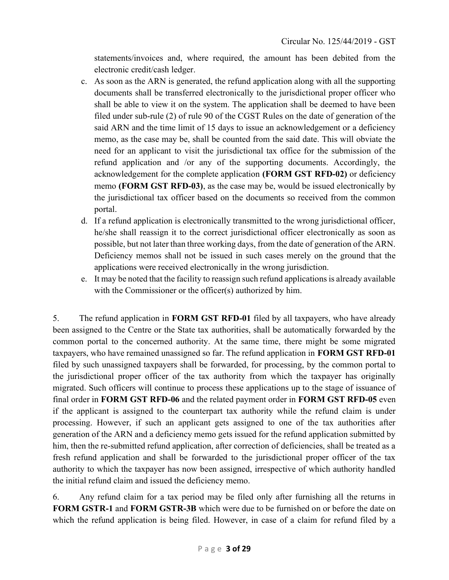statements/invoices and, where required, the amount has been debited from the electronic credit/cash ledger.

- c. As soon as the ARN is generated, the refund application along with all the supporting documents shall be transferred electronically to the jurisdictional proper officer who shall be able to view it on the system. The application shall be deemed to have been filed under sub-rule (2) of rule 90 of the CGST Rules on the date of generation of the said ARN and the time limit of 15 days to issue an acknowledgement or a deficiency memo, as the case may be, shall be counted from the said date. This will obviate the need for an applicant to visit the jurisdictional tax office for the submission of the refund application and /or any of the supporting documents. Accordingly, the acknowledgement for the complete application (FORM GST RFD-02) or deficiency memo (FORM GST RFD-03), as the case may be, would be issued electronically by the jurisdictional tax officer based on the documents so received from the common portal.
- d. If a refund application is electronically transmitted to the wrong jurisdictional officer, he/she shall reassign it to the correct jurisdictional officer electronically as soon as possible, but not later than three working days, from the date of generation of the ARN. Deficiency memos shall not be issued in such cases merely on the ground that the applications were received electronically in the wrong jurisdiction.
- e. It may be noted that the facility to reassign such refund applications is already available with the Commissioner or the officer(s) authorized by him.

5. The refund application in FORM GST RFD-01 filed by all taxpayers, who have already been assigned to the Centre or the State tax authorities, shall be automatically forwarded by the common portal to the concerned authority. At the same time, there might be some migrated taxpayers, who have remained unassigned so far. The refund application in FORM GST RFD-01 filed by such unassigned taxpayers shall be forwarded, for processing, by the common portal to the jurisdictional proper officer of the tax authority from which the taxpayer has originally migrated. Such officers will continue to process these applications up to the stage of issuance of final order in FORM GST RFD-06 and the related payment order in FORM GST RFD-05 even if the applicant is assigned to the counterpart tax authority while the refund claim is under processing. However, if such an applicant gets assigned to one of the tax authorities after generation of the ARN and a deficiency memo gets issued for the refund application submitted by him, then the re-submitted refund application, after correction of deficiencies, shall be treated as a fresh refund application and shall be forwarded to the jurisdictional proper officer of the tax authority to which the taxpayer has now been assigned, irrespective of which authority handled the initial refund claim and issued the deficiency memo.

6. Any refund claim for a tax period may be filed only after furnishing all the returns in FORM GSTR-1 and FORM GSTR-3B which were due to be furnished on or before the date on which the refund application is being filed. However, in case of a claim for refund filed by a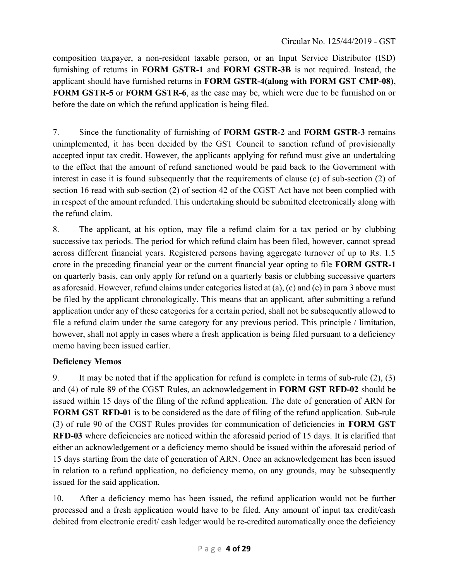composition taxpayer, a non-resident taxable person, or an Input Service Distributor (ISD) furnishing of returns in FORM GSTR-1 and FORM GSTR-3B is not required. Instead, the applicant should have furnished returns in FORM GSTR-4(along with FORM GST CMP-08), FORM GSTR-5 or FORM GSTR-6, as the case may be, which were due to be furnished on or before the date on which the refund application is being filed.

7. Since the functionality of furnishing of FORM GSTR-2 and FORM GSTR-3 remains unimplemented, it has been decided by the GST Council to sanction refund of provisionally accepted input tax credit. However, the applicants applying for refund must give an undertaking to the effect that the amount of refund sanctioned would be paid back to the Government with interest in case it is found subsequently that the requirements of clause (c) of sub-section (2) of section 16 read with sub-section (2) of section 42 of the CGST Act have not been complied with in respect of the amount refunded. This undertaking should be submitted electronically along with the refund claim.

8. The applicant, at his option, may file a refund claim for a tax period or by clubbing successive tax periods. The period for which refund claim has been filed, however, cannot spread across different financial years. Registered persons having aggregate turnover of up to Rs. 1.5 crore in the preceding financial year or the current financial year opting to file FORM GSTR-1 on quarterly basis, can only apply for refund on a quarterly basis or clubbing successive quarters as aforesaid. However, refund claims under categories listed at (a), (c) and (e) in para 3 above must be filed by the applicant chronologically. This means that an applicant, after submitting a refund application under any of these categories for a certain period, shall not be subsequently allowed to file a refund claim under the same category for any previous period. This principle / limitation, however, shall not apply in cases where a fresh application is being filed pursuant to a deficiency memo having been issued earlier.

# Deficiency Memos

9. It may be noted that if the application for refund is complete in terms of sub-rule (2), (3) and (4) of rule 89 of the CGST Rules, an acknowledgement in FORM GST RFD-02 should be issued within 15 days of the filing of the refund application. The date of generation of ARN for FORM GST RFD-01 is to be considered as the date of filing of the refund application. Sub-rule (3) of rule 90 of the CGST Rules provides for communication of deficiencies in FORM GST RFD-03 where deficiencies are noticed within the aforesaid period of 15 days. It is clarified that either an acknowledgement or a deficiency memo should be issued within the aforesaid period of 15 days starting from the date of generation of ARN. Once an acknowledgement has been issued in relation to a refund application, no deficiency memo, on any grounds, may be subsequently issued for the said application.

10. After a deficiency memo has been issued, the refund application would not be further processed and a fresh application would have to be filed. Any amount of input tax credit/cash debited from electronic credit/ cash ledger would be re-credited automatically once the deficiency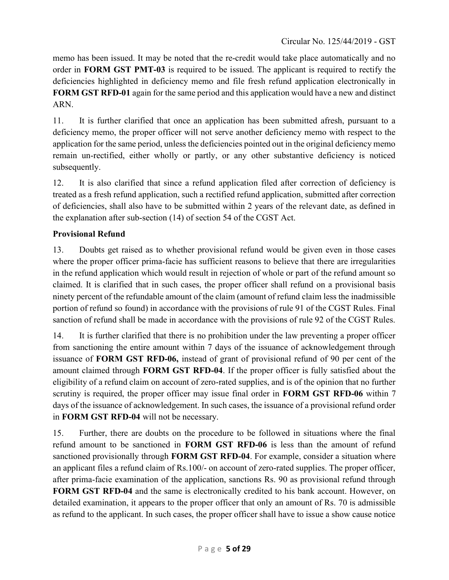memo has been issued. It may be noted that the re-credit would take place automatically and no order in FORM GST PMT-03 is required to be issued. The applicant is required to rectify the deficiencies highlighted in deficiency memo and file fresh refund application electronically in FORM GST RFD-01 again for the same period and this application would have a new and distinct ARN.

11. It is further clarified that once an application has been submitted afresh, pursuant to a deficiency memo, the proper officer will not serve another deficiency memo with respect to the application for the same period, unless the deficiencies pointed out in the original deficiency memo remain un-rectified, either wholly or partly, or any other substantive deficiency is noticed subsequently.

12. It is also clarified that since a refund application filed after correction of deficiency is treated as a fresh refund application, such a rectified refund application, submitted after correction of deficiencies, shall also have to be submitted within 2 years of the relevant date, as defined in the explanation after sub-section (14) of section 54 of the CGST Act.

# Provisional Refund

13. Doubts get raised as to whether provisional refund would be given even in those cases where the proper officer prima-facie has sufficient reasons to believe that there are irregularities in the refund application which would result in rejection of whole or part of the refund amount so claimed. It is clarified that in such cases, the proper officer shall refund on a provisional basis ninety percent of the refundable amount of the claim (amount of refund claim less the inadmissible portion of refund so found) in accordance with the provisions of rule 91 of the CGST Rules. Final sanction of refund shall be made in accordance with the provisions of rule 92 of the CGST Rules.

14. It is further clarified that there is no prohibition under the law preventing a proper officer from sanctioning the entire amount within 7 days of the issuance of acknowledgement through issuance of FORM GST RFD-06, instead of grant of provisional refund of 90 per cent of the amount claimed through FORM GST RFD-04. If the proper officer is fully satisfied about the eligibility of a refund claim on account of zero-rated supplies, and is of the opinion that no further scrutiny is required, the proper officer may issue final order in **FORM GST RFD-06** within 7 days of the issuance of acknowledgement. In such cases, the issuance of a provisional refund order in FORM GST RFD-04 will not be necessary.

15. Further, there are doubts on the procedure to be followed in situations where the final refund amount to be sanctioned in FORM GST RFD-06 is less than the amount of refund sanctioned provisionally through FORM GST RFD-04. For example, consider a situation where an applicant files a refund claim of Rs.100/- on account of zero-rated supplies. The proper officer, after prima-facie examination of the application, sanctions Rs. 90 as provisional refund through FORM GST RFD-04 and the same is electronically credited to his bank account. However, on detailed examination, it appears to the proper officer that only an amount of Rs. 70 is admissible as refund to the applicant. In such cases, the proper officer shall have to issue a show cause notice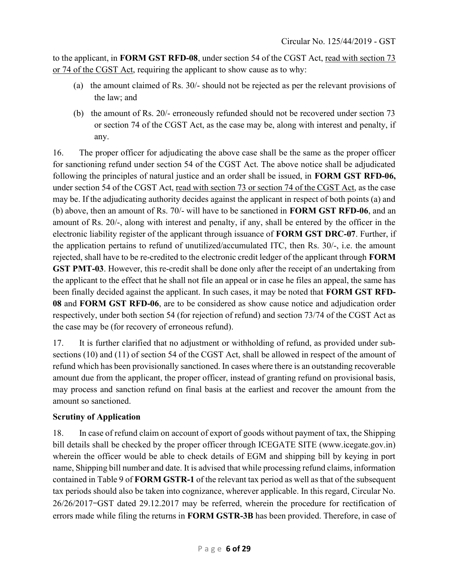to the applicant, in FORM GST RFD-08, under section 54 of the CGST Act, read with section 73 or 74 of the CGST Act, requiring the applicant to show cause as to why:

- (a) the amount claimed of Rs. 30/- should not be rejected as per the relevant provisions of the law; and
- (b) the amount of Rs. 20/- erroneously refunded should not be recovered under section 73 or section 74 of the CGST Act, as the case may be, along with interest and penalty, if any.

16. The proper officer for adjudicating the above case shall be the same as the proper officer for sanctioning refund under section 54 of the CGST Act. The above notice shall be adjudicated following the principles of natural justice and an order shall be issued, in FORM GST RFD-06, under section 54 of the CGST Act, read with section 73 or section 74 of the CGST Act, as the case may be. If the adjudicating authority decides against the applicant in respect of both points (a) and (b) above, then an amount of Rs. 70/- will have to be sanctioned in FORM GST RFD-06, and an amount of Rs. 20/-, along with interest and penalty, if any, shall be entered by the officer in the electronic liability register of the applicant through issuance of FORM GST DRC-07. Further, if the application pertains to refund of unutilized/accumulated ITC, then Rs. 30/-, i.e. the amount rejected, shall have to be re-credited to the electronic credit ledger of the applicant through FORM GST PMT-03. However, this re-credit shall be done only after the receipt of an undertaking from the applicant to the effect that he shall not file an appeal or in case he files an appeal, the same has been finally decided against the applicant. In such cases, it may be noted that **FORM GST RFD-**08 and FORM GST RFD-06, are to be considered as show cause notice and adjudication order respectively, under both section 54 (for rejection of refund) and section 73/74 of the CGST Act as the case may be (for recovery of erroneous refund).

17. It is further clarified that no adjustment or withholding of refund, as provided under subsections (10) and (11) of section 54 of the CGST Act, shall be allowed in respect of the amount of refund which has been provisionally sanctioned. In cases where there is an outstanding recoverable amount due from the applicant, the proper officer, instead of granting refund on provisional basis, may process and sanction refund on final basis at the earliest and recover the amount from the amount so sanctioned.

## Scrutiny of Application

18. In case of refund claim on account of export of goods without payment of tax, the Shipping bill details shall be checked by the proper officer through ICEGATE SITE (www.icegate.gov.in) wherein the officer would be able to check details of EGM and shipping bill by keying in port name, Shipping bill number and date. It is advised that while processing refund claims, information contained in Table 9 of FORM GSTR-1 of the relevant tax period as well as that of the subsequent tax periods should also be taken into cognizance, wherever applicable. In this regard, Circular No. 26/26/2017–GST dated 29.12.2017 may be referred, wherein the procedure for rectification of errors made while filing the returns in FORM GSTR-3B has been provided. Therefore, in case of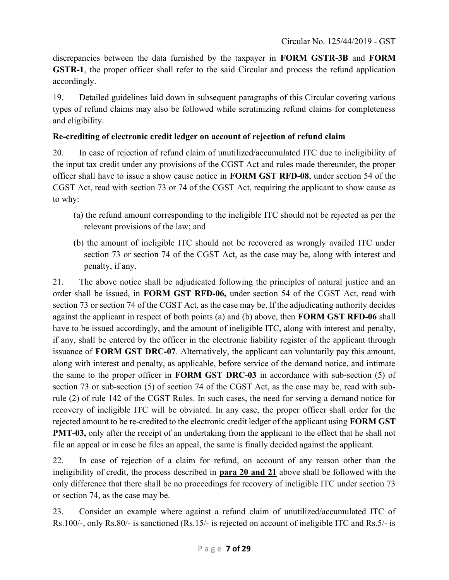discrepancies between the data furnished by the taxpayer in FORM GSTR-3B and FORM GSTR-1, the proper officer shall refer to the said Circular and process the refund application accordingly.

19. Detailed guidelines laid down in subsequent paragraphs of this Circular covering various types of refund claims may also be followed while scrutinizing refund claims for completeness and eligibility.

# Re-crediting of electronic credit ledger on account of rejection of refund claim

20. In case of rejection of refund claim of unutilized/accumulated ITC due to ineligibility of the input tax credit under any provisions of the CGST Act and rules made thereunder, the proper officer shall have to issue a show cause notice in FORM GST RFD-08, under section 54 of the CGST Act, read with section 73 or 74 of the CGST Act, requiring the applicant to show cause as to why:

- (a) the refund amount corresponding to the ineligible ITC should not be rejected as per the relevant provisions of the law; and
- (b) the amount of ineligible ITC should not be recovered as wrongly availed ITC under section 73 or section 74 of the CGST Act, as the case may be, along with interest and penalty, if any.

21. The above notice shall be adjudicated following the principles of natural justice and an order shall be issued, in FORM GST RFD-06, under section 54 of the CGST Act, read with section 73 or section 74 of the CGST Act, as the case may be. If the adjudicating authority decides against the applicant in respect of both points (a) and (b) above, then FORM GST RFD-06 shall have to be issued accordingly, and the amount of ineligible ITC, along with interest and penalty, if any, shall be entered by the officer in the electronic liability register of the applicant through issuance of FORM GST DRC-07. Alternatively, the applicant can voluntarily pay this amount, along with interest and penalty, as applicable, before service of the demand notice, and intimate the same to the proper officer in FORM GST DRC-03 in accordance with sub-section (5) of section 73 or sub-section (5) of section 74 of the CGST Act, as the case may be, read with subrule (2) of rule 142 of the CGST Rules. In such cases, the need for serving a demand notice for recovery of ineligible ITC will be obviated. In any case, the proper officer shall order for the rejected amount to be re-credited to the electronic credit ledger of the applicant using FORM GST PMT-03, only after the receipt of an undertaking from the applicant to the effect that he shall not file an appeal or in case he files an appeal, the same is finally decided against the applicant.

22. In case of rejection of a claim for refund, on account of any reason other than the ineligibility of credit, the process described in para 20 and 21 above shall be followed with the only difference that there shall be no proceedings for recovery of ineligible ITC under section 73 or section 74, as the case may be.

23. Consider an example where against a refund claim of unutilized/accumulated ITC of Rs.100/-, only Rs.80/- is sanctioned (Rs.15/- is rejected on account of ineligible ITC and Rs.5/- is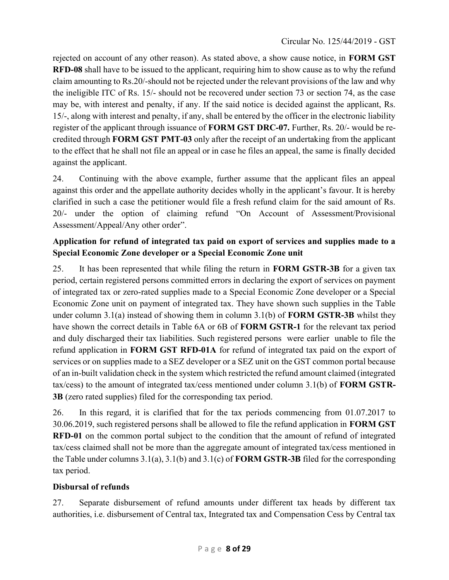rejected on account of any other reason). As stated above, a show cause notice, in FORM GST RFD-08 shall have to be issued to the applicant, requiring him to show cause as to why the refund claim amounting to Rs.20/-should not be rejected under the relevant provisions of the law and why the ineligible ITC of Rs. 15/- should not be recovered under section 73 or section 74, as the case may be, with interest and penalty, if any. If the said notice is decided against the applicant, Rs. 15/-, along with interest and penalty, if any, shall be entered by the officer in the electronic liability register of the applicant through issuance of **FORM GST DRC-07.** Further, Rs. 20/- would be recredited through FORM GST PMT-03 only after the receipt of an undertaking from the applicant to the effect that he shall not file an appeal or in case he files an appeal, the same is finally decided against the applicant.

24. Continuing with the above example, further assume that the applicant files an appeal against this order and the appellate authority decides wholly in the applicant's favour. It is hereby clarified in such a case the petitioner would file a fresh refund claim for the said amount of Rs. 20/- under the option of claiming refund "On Account of Assessment/Provisional Assessment/Appeal/Any other order".

# Application for refund of integrated tax paid on export of services and supplies made to a Special Economic Zone developer or a Special Economic Zone unit

25. It has been represented that while filing the return in **FORM GSTR-3B** for a given tax period, certain registered persons committed errors in declaring the export of services on payment of integrated tax or zero-rated supplies made to a Special Economic Zone developer or a Special Economic Zone unit on payment of integrated tax. They have shown such supplies in the Table under column 3.1(a) instead of showing them in column 3.1(b) of **FORM GSTR-3B** whilst they have shown the correct details in Table 6A or 6B of FORM GSTR-1 for the relevant tax period and duly discharged their tax liabilities. Such registered persons were earlier unable to file the refund application in FORM GST RFD-01A for refund of integrated tax paid on the export of services or on supplies made to a SEZ developer or a SEZ unit on the GST common portal because of an in-built validation check in the system which restricted the refund amount claimed (integrated tax/cess) to the amount of integrated tax/cess mentioned under column 3.1(b) of FORM GSTR-3B (zero rated supplies) filed for the corresponding tax period.

26. In this regard, it is clarified that for the tax periods commencing from 01.07.2017 to 30.06.2019, such registered persons shall be allowed to file the refund application in FORM GST RFD-01 on the common portal subject to the condition that the amount of refund of integrated tax/cess claimed shall not be more than the aggregate amount of integrated tax/cess mentioned in the Table under columns 3.1(a), 3.1(b) and 3.1(c) of FORM GSTR-3B filed for the corresponding tax period.

## Disbursal of refunds

27. Separate disbursement of refund amounts under different tax heads by different tax authorities, i.e. disbursement of Central tax, Integrated tax and Compensation Cess by Central tax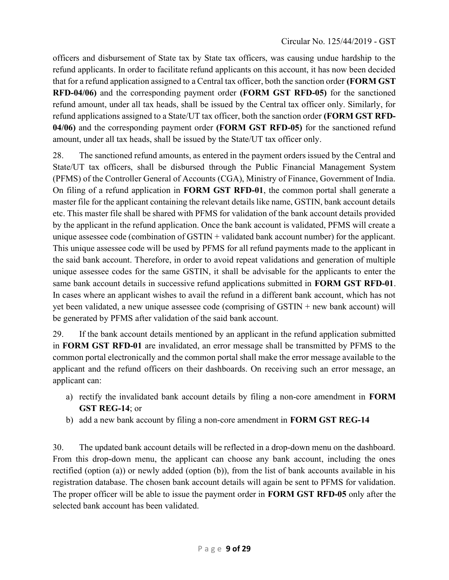officers and disbursement of State tax by State tax officers, was causing undue hardship to the refund applicants. In order to facilitate refund applicants on this account, it has now been decided that for a refund application assigned to a Central tax officer, both the sanction order (FORM GST RFD-04/06) and the corresponding payment order (FORM GST RFD-05) for the sanctioned refund amount, under all tax heads, shall be issued by the Central tax officer only. Similarly, for refund applications assigned to a State/UT tax officer, both the sanction order (FORM GST RFD-04/06) and the corresponding payment order (FORM GST RFD-05) for the sanctioned refund amount, under all tax heads, shall be issued by the State/UT tax officer only.

28. The sanctioned refund amounts, as entered in the payment orders issued by the Central and State/UT tax officers, shall be disbursed through the Public Financial Management System (PFMS) of the Controller General of Accounts (CGA), Ministry of Finance, Government of India. On filing of a refund application in FORM GST RFD-01, the common portal shall generate a master file for the applicant containing the relevant details like name, GSTIN, bank account details etc. This master file shall be shared with PFMS for validation of the bank account details provided by the applicant in the refund application. Once the bank account is validated, PFMS will create a unique assessee code (combination of GSTIN + validated bank account number) for the applicant. This unique assessee code will be used by PFMS for all refund payments made to the applicant in the said bank account. Therefore, in order to avoid repeat validations and generation of multiple unique assessee codes for the same GSTIN, it shall be advisable for the applicants to enter the same bank account details in successive refund applications submitted in FORM GST RFD-01. In cases where an applicant wishes to avail the refund in a different bank account, which has not yet been validated, a new unique assessee code (comprising of GSTIN + new bank account) will be generated by PFMS after validation of the said bank account.

29. If the bank account details mentioned by an applicant in the refund application submitted in FORM GST RFD-01 are invalidated, an error message shall be transmitted by PFMS to the common portal electronically and the common portal shall make the error message available to the applicant and the refund officers on their dashboards. On receiving such an error message, an applicant can:

- a) rectify the invalidated bank account details by filing a non-core amendment in FORM GST REG-14; or
- b) add a new bank account by filing a non-core amendment in FORM GST REG-14

30. The updated bank account details will be reflected in a drop-down menu on the dashboard. From this drop-down menu, the applicant can choose any bank account, including the ones rectified (option (a)) or newly added (option (b)), from the list of bank accounts available in his registration database. The chosen bank account details will again be sent to PFMS for validation. The proper officer will be able to issue the payment order in FORM GST RFD-05 only after the selected bank account has been validated.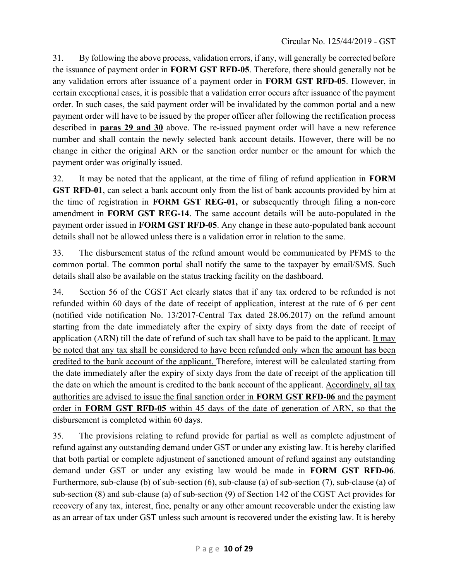31. By following the above process, validation errors, if any, will generally be corrected before the issuance of payment order in FORM GST RFD-05. Therefore, there should generally not be any validation errors after issuance of a payment order in FORM GST RFD-05. However, in certain exceptional cases, it is possible that a validation error occurs after issuance of the payment order. In such cases, the said payment order will be invalidated by the common portal and a new payment order will have to be issued by the proper officer after following the rectification process described in **paras 29 and 30** above. The re-issued payment order will have a new reference number and shall contain the newly selected bank account details. However, there will be no change in either the original ARN or the sanction order number or the amount for which the payment order was originally issued.

32. It may be noted that the applicant, at the time of filing of refund application in FORM GST RFD-01, can select a bank account only from the list of bank accounts provided by him at the time of registration in FORM GST REG-01, or subsequently through filing a non-core amendment in FORM GST REG-14. The same account details will be auto-populated in the payment order issued in FORM GST RFD-05. Any change in these auto-populated bank account details shall not be allowed unless there is a validation error in relation to the same.

33. The disbursement status of the refund amount would be communicated by PFMS to the common portal. The common portal shall notify the same to the taxpayer by email/SMS. Such details shall also be available on the status tracking facility on the dashboard.

34. Section 56 of the CGST Act clearly states that if any tax ordered to be refunded is not refunded within 60 days of the date of receipt of application, interest at the rate of 6 per cent (notified vide notification No. 13/2017-Central Tax dated 28.06.2017) on the refund amount starting from the date immediately after the expiry of sixty days from the date of receipt of application (ARN) till the date of refund of such tax shall have to be paid to the applicant. It may be noted that any tax shall be considered to have been refunded only when the amount has been credited to the bank account of the applicant. Therefore, interest will be calculated starting from the date immediately after the expiry of sixty days from the date of receipt of the application till the date on which the amount is credited to the bank account of the applicant. Accordingly, all tax authorities are advised to issue the final sanction order in FORM GST RFD-06 and the payment order in FORM GST RFD-05 within 45 days of the date of generation of ARN, so that the disbursement is completed within 60 days.

35. The provisions relating to refund provide for partial as well as complete adjustment of refund against any outstanding demand under GST or under any existing law. It is hereby clarified that both partial or complete adjustment of sanctioned amount of refund against any outstanding demand under GST or under any existing law would be made in FORM GST RFD-06. Furthermore, sub-clause (b) of sub-section (6), sub-clause (a) of sub-section (7), sub-clause (a) of sub-section (8) and sub-clause (a) of sub-section (9) of Section 142 of the CGST Act provides for recovery of any tax, interest, fine, penalty or any other amount recoverable under the existing law as an arrear of tax under GST unless such amount is recovered under the existing law. It is hereby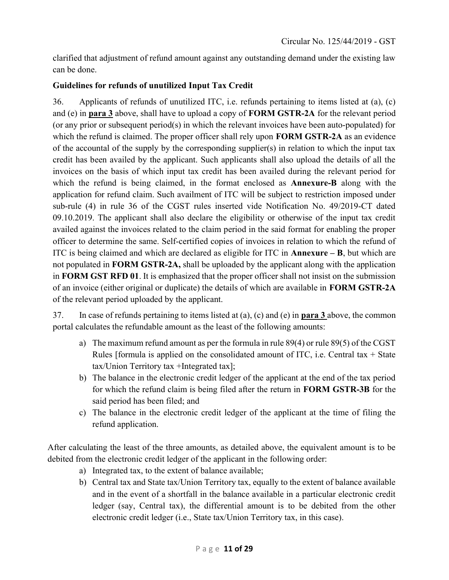clarified that adjustment of refund amount against any outstanding demand under the existing law can be done.

# Guidelines for refunds of unutilized Input Tax Credit

36. Applicants of refunds of unutilized ITC, i.e. refunds pertaining to items listed at (a), (c) and (e) in para 3 above, shall have to upload a copy of FORM GSTR-2A for the relevant period (or any prior or subsequent period(s) in which the relevant invoices have been auto-populated) for which the refund is claimed. The proper officer shall rely upon **FORM GSTR-2A** as an evidence of the accountal of the supply by the corresponding supplier(s) in relation to which the input tax credit has been availed by the applicant. Such applicants shall also upload the details of all the invoices on the basis of which input tax credit has been availed during the relevant period for which the refund is being claimed, in the format enclosed as **Annexure-B** along with the application for refund claim. Such availment of ITC will be subject to restriction imposed under sub-rule (4) in rule 36 of the CGST rules inserted vide Notification No. 49/2019-CT dated 09.10.2019. The applicant shall also declare the eligibility or otherwise of the input tax credit availed against the invoices related to the claim period in the said format for enabling the proper officer to determine the same. Self-certified copies of invoices in relation to which the refund of ITC is being claimed and which are declared as eligible for ITC in Annexure  $-$  B, but which are not populated in FORM GSTR-2A, shall be uploaded by the applicant along with the application in FORM GST RFD 01. It is emphasized that the proper officer shall not insist on the submission of an invoice (either original or duplicate) the details of which are available in FORM GSTR-2A of the relevant period uploaded by the applicant.

37. In case of refunds pertaining to items listed at (a), (c) and (e) in para 3 above, the common portal calculates the refundable amount as the least of the following amounts:

- a) The maximum refund amount as per the formula in rule 89(4) or rule 89(5) of the CGST Rules [formula is applied on the consolidated amount of ITC, i.e. Central tax  $+$  State tax/Union Territory tax +Integrated tax];
- b) The balance in the electronic credit ledger of the applicant at the end of the tax period for which the refund claim is being filed after the return in FORM GSTR-3B for the said period has been filed; and
- c) The balance in the electronic credit ledger of the applicant at the time of filing the refund application.

After calculating the least of the three amounts, as detailed above, the equivalent amount is to be debited from the electronic credit ledger of the applicant in the following order:

- a) Integrated tax, to the extent of balance available;
- b) Central tax and State tax/Union Territory tax, equally to the extent of balance available and in the event of a shortfall in the balance available in a particular electronic credit ledger (say, Central tax), the differential amount is to be debited from the other electronic credit ledger (i.e., State tax/Union Territory tax, in this case).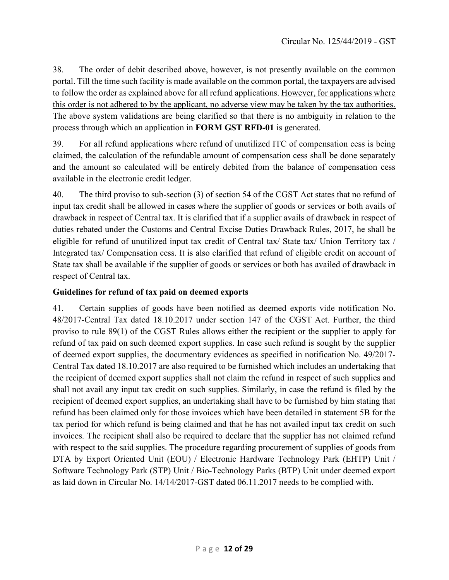38. The order of debit described above, however, is not presently available on the common portal. Till the time such facility is made available on the common portal, the taxpayers are advised to follow the order as explained above for all refund applications. However, for applications where this order is not adhered to by the applicant, no adverse view may be taken by the tax authorities. The above system validations are being clarified so that there is no ambiguity in relation to the process through which an application in FORM GST RFD-01 is generated.

39. For all refund applications where refund of unutilized ITC of compensation cess is being claimed, the calculation of the refundable amount of compensation cess shall be done separately and the amount so calculated will be entirely debited from the balance of compensation cess available in the electronic credit ledger.

40. The third proviso to sub-section (3) of section 54 of the CGST Act states that no refund of input tax credit shall be allowed in cases where the supplier of goods or services or both avails of drawback in respect of Central tax. It is clarified that if a supplier avails of drawback in respect of duties rebated under the Customs and Central Excise Duties Drawback Rules, 2017, he shall be eligible for refund of unutilized input tax credit of Central tax/ State tax/ Union Territory tax / Integrated tax/ Compensation cess. It is also clarified that refund of eligible credit on account of State tax shall be available if the supplier of goods or services or both has availed of drawback in respect of Central tax.

## Guidelines for refund of tax paid on deemed exports

41. Certain supplies of goods have been notified as deemed exports vide notification No. 48/2017-Central Tax dated 18.10.2017 under section 147 of the CGST Act. Further, the third proviso to rule 89(1) of the CGST Rules allows either the recipient or the supplier to apply for refund of tax paid on such deemed export supplies. In case such refund is sought by the supplier of deemed export supplies, the documentary evidences as specified in notification No. 49/2017- Central Tax dated 18.10.2017 are also required to be furnished which includes an undertaking that the recipient of deemed export supplies shall not claim the refund in respect of such supplies and shall not avail any input tax credit on such supplies. Similarly, in case the refund is filed by the recipient of deemed export supplies, an undertaking shall have to be furnished by him stating that refund has been claimed only for those invoices which have been detailed in statement 5B for the tax period for which refund is being claimed and that he has not availed input tax credit on such invoices. The recipient shall also be required to declare that the supplier has not claimed refund with respect to the said supplies. The procedure regarding procurement of supplies of goods from DTA by Export Oriented Unit (EOU) / Electronic Hardware Technology Park (EHTP) Unit / Software Technology Park (STP) Unit / Bio-Technology Parks (BTP) Unit under deemed export as laid down in Circular No. 14/14/2017-GST dated 06.11.2017 needs to be complied with.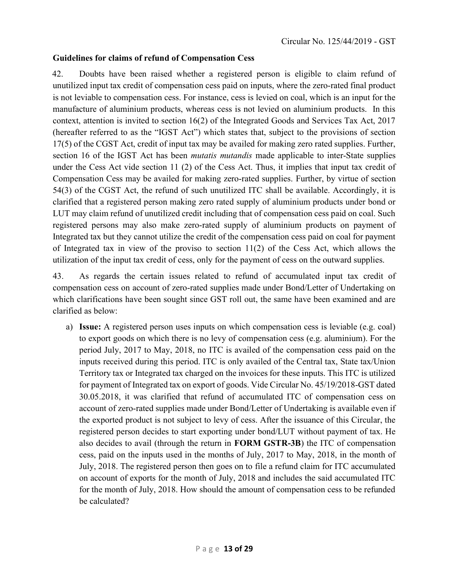#### Guidelines for claims of refund of Compensation Cess

42. Doubts have been raised whether a registered person is eligible to claim refund of unutilized input tax credit of compensation cess paid on inputs, where the zero-rated final product is not leviable to compensation cess. For instance, cess is levied on coal, which is an input for the manufacture of aluminium products, whereas cess is not levied on aluminium products. In this context, attention is invited to section 16(2) of the Integrated Goods and Services Tax Act, 2017 (hereafter referred to as the "IGST Act") which states that, subject to the provisions of section 17(5) of the CGST Act, credit of input tax may be availed for making zero rated supplies. Further, section 16 of the IGST Act has been *mutatis mutandis* made applicable to inter-State supplies under the Cess Act vide section 11 (2) of the Cess Act. Thus, it implies that input tax credit of Compensation Cess may be availed for making zero-rated supplies. Further, by virtue of section 54(3) of the CGST Act, the refund of such unutilized ITC shall be available. Accordingly, it is clarified that a registered person making zero rated supply of aluminium products under bond or LUT may claim refund of unutilized credit including that of compensation cess paid on coal. Such registered persons may also make zero-rated supply of aluminium products on payment of Integrated tax but they cannot utilize the credit of the compensation cess paid on coal for payment of Integrated tax in view of the proviso to section 11(2) of the Cess Act, which allows the utilization of the input tax credit of cess, only for the payment of cess on the outward supplies.

43. As regards the certain issues related to refund of accumulated input tax credit of compensation cess on account of zero-rated supplies made under Bond/Letter of Undertaking on which clarifications have been sought since GST roll out, the same have been examined and are clarified as below:

a) Issue: A registered person uses inputs on which compensation cess is leviable (e.g. coal) to export goods on which there is no levy of compensation cess (e.g. aluminium). For the period July, 2017 to May, 2018, no ITC is availed of the compensation cess paid on the inputs received during this period. ITC is only availed of the Central tax, State tax/Union Territory tax or Integrated tax charged on the invoices for these inputs. This ITC is utilized for payment of Integrated tax on export of goods. Vide Circular No. 45/19/2018-GST dated 30.05.2018, it was clarified that refund of accumulated ITC of compensation cess on account of zero-rated supplies made under Bond/Letter of Undertaking is available even if the exported product is not subject to levy of cess. After the issuance of this Circular, the registered person decides to start exporting under bond/LUT without payment of tax. He also decides to avail (through the return in FORM GSTR-3B) the ITC of compensation cess, paid on the inputs used in the months of July, 2017 to May, 2018, in the month of July, 2018. The registered person then goes on to file a refund claim for ITC accumulated on account of exports for the month of July, 2018 and includes the said accumulated ITC for the month of July, 2018. How should the amount of compensation cess to be refunded be calculated?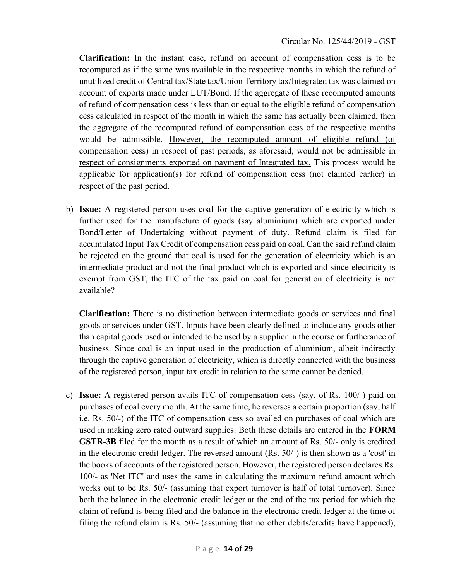Clarification: In the instant case, refund on account of compensation cess is to be recomputed as if the same was available in the respective months in which the refund of unutilized credit of Central tax/State tax/Union Territory tax/Integrated tax was claimed on account of exports made under LUT/Bond. If the aggregate of these recomputed amounts of refund of compensation cess is less than or equal to the eligible refund of compensation cess calculated in respect of the month in which the same has actually been claimed, then the aggregate of the recomputed refund of compensation cess of the respective months would be admissible. However, the recomputed amount of eligible refund (of compensation cess) in respect of past periods, as aforesaid, would not be admissible in respect of consignments exported on payment of Integrated tax. This process would be applicable for application(s) for refund of compensation cess (not claimed earlier) in respect of the past period.

b) Issue: A registered person uses coal for the captive generation of electricity which is further used for the manufacture of goods (say aluminium) which are exported under Bond/Letter of Undertaking without payment of duty. Refund claim is filed for accumulated Input Tax Credit of compensation cess paid on coal. Can the said refund claim be rejected on the ground that coal is used for the generation of electricity which is an intermediate product and not the final product which is exported and since electricity is exempt from GST, the ITC of the tax paid on coal for generation of electricity is not available?

Clarification: There is no distinction between intermediate goods or services and final goods or services under GST. Inputs have been clearly defined to include any goods other than capital goods used or intended to be used by a supplier in the course or furtherance of business. Since coal is an input used in the production of aluminium, albeit indirectly through the captive generation of electricity, which is directly connected with the business of the registered person, input tax credit in relation to the same cannot be denied.

c) Issue: A registered person avails ITC of compensation cess (say, of Rs. 100/-) paid on purchases of coal every month. At the same time, he reverses a certain proportion (say, half i.e. Rs. 50/-) of the ITC of compensation cess so availed on purchases of coal which are used in making zero rated outward supplies. Both these details are entered in the FORM GSTR-3B filed for the month as a result of which an amount of Rs. 50/- only is credited in the electronic credit ledger. The reversed amount (Rs. 50/-) is then shown as a 'cost' in the books of accounts of the registered person. However, the registered person declares Rs. 100/- as 'Net ITC' and uses the same in calculating the maximum refund amount which works out to be Rs. 50/- (assuming that export turnover is half of total turnover). Since both the balance in the electronic credit ledger at the end of the tax period for which the claim of refund is being filed and the balance in the electronic credit ledger at the time of filing the refund claim is Rs. 50/- (assuming that no other debits/credits have happened),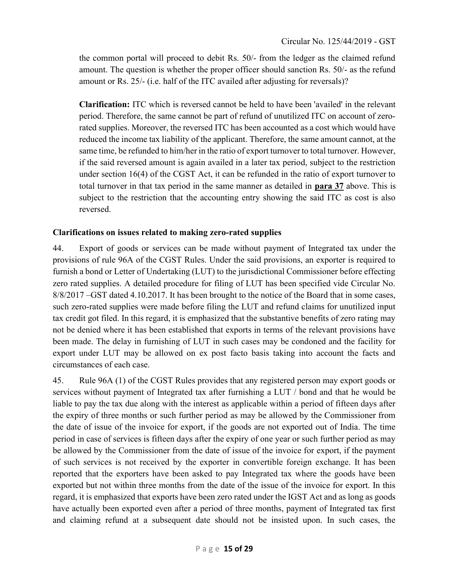the common portal will proceed to debit Rs. 50/- from the ledger as the claimed refund amount. The question is whether the proper officer should sanction Rs. 50/- as the refund amount or Rs. 25/- (i.e. half of the ITC availed after adjusting for reversals)?

Clarification: ITC which is reversed cannot be held to have been 'availed' in the relevant period. Therefore, the same cannot be part of refund of unutilized ITC on account of zerorated supplies. Moreover, the reversed ITC has been accounted as a cost which would have reduced the income tax liability of the applicant. Therefore, the same amount cannot, at the same time, be refunded to him/her in the ratio of export turnover to total turnover. However, if the said reversed amount is again availed in a later tax period, subject to the restriction under section 16(4) of the CGST Act, it can be refunded in the ratio of export turnover to total turnover in that tax period in the same manner as detailed in para 37 above. This is subject to the restriction that the accounting entry showing the said ITC as cost is also reversed.

# Clarifications on issues related to making zero-rated supplies

44. Export of goods or services can be made without payment of Integrated tax under the provisions of rule 96A of the CGST Rules. Under the said provisions, an exporter is required to furnish a bond or Letter of Undertaking (LUT) to the jurisdictional Commissioner before effecting zero rated supplies. A detailed procedure for filing of LUT has been specified vide Circular No. 8/8/2017 –GST dated 4.10.2017. It has been brought to the notice of the Board that in some cases, such zero-rated supplies were made before filing the LUT and refund claims for unutilized input tax credit got filed. In this regard, it is emphasized that the substantive benefits of zero rating may not be denied where it has been established that exports in terms of the relevant provisions have been made. The delay in furnishing of LUT in such cases may be condoned and the facility for export under LUT may be allowed on ex post facto basis taking into account the facts and circumstances of each case.

45. Rule 96A (1) of the CGST Rules provides that any registered person may export goods or services without payment of Integrated tax after furnishing a LUT / bond and that he would be liable to pay the tax due along with the interest as applicable within a period of fifteen days after the expiry of three months or such further period as may be allowed by the Commissioner from the date of issue of the invoice for export, if the goods are not exported out of India. The time period in case of services is fifteen days after the expiry of one year or such further period as may be allowed by the Commissioner from the date of issue of the invoice for export, if the payment of such services is not received by the exporter in convertible foreign exchange. It has been reported that the exporters have been asked to pay Integrated tax where the goods have been exported but not within three months from the date of the issue of the invoice for export. In this regard, it is emphasized that exports have been zero rated under the IGST Act and as long as goods have actually been exported even after a period of three months, payment of Integrated tax first and claiming refund at a subsequent date should not be insisted upon. In such cases, the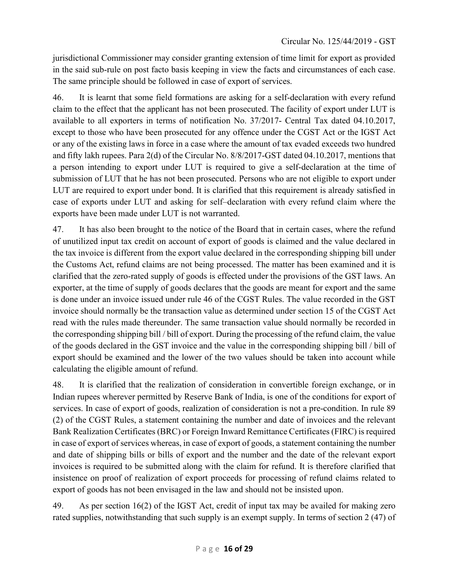jurisdictional Commissioner may consider granting extension of time limit for export as provided in the said sub-rule on post facto basis keeping in view the facts and circumstances of each case. The same principle should be followed in case of export of services.

46. It is learnt that some field formations are asking for a self-declaration with every refund claim to the effect that the applicant has not been prosecuted. The facility of export under LUT is available to all exporters in terms of notification No. 37/2017- Central Tax dated 04.10.2017, except to those who have been prosecuted for any offence under the CGST Act or the IGST Act or any of the existing laws in force in a case where the amount of tax evaded exceeds two hundred and fifty lakh rupees. Para 2(d) of the Circular No. 8/8/2017-GST dated 04.10.2017, mentions that a person intending to export under LUT is required to give a self-declaration at the time of submission of LUT that he has not been prosecuted. Persons who are not eligible to export under LUT are required to export under bond. It is clarified that this requirement is already satisfied in case of exports under LUT and asking for self–declaration with every refund claim where the exports have been made under LUT is not warranted.

47. It has also been brought to the notice of the Board that in certain cases, where the refund of unutilized input tax credit on account of export of goods is claimed and the value declared in the tax invoice is different from the export value declared in the corresponding shipping bill under the Customs Act, refund claims are not being processed. The matter has been examined and it is clarified that the zero-rated supply of goods is effected under the provisions of the GST laws. An exporter, at the time of supply of goods declares that the goods are meant for export and the same is done under an invoice issued under rule 46 of the CGST Rules. The value recorded in the GST invoice should normally be the transaction value as determined under section 15 of the CGST Act read with the rules made thereunder. The same transaction value should normally be recorded in the corresponding shipping bill / bill of export. During the processing of the refund claim, the value of the goods declared in the GST invoice and the value in the corresponding shipping bill / bill of export should be examined and the lower of the two values should be taken into account while calculating the eligible amount of refund.

48. It is clarified that the realization of consideration in convertible foreign exchange, or in Indian rupees wherever permitted by Reserve Bank of India, is one of the conditions for export of services. In case of export of goods, realization of consideration is not a pre-condition. In rule 89 (2) of the CGST Rules, a statement containing the number and date of invoices and the relevant Bank Realization Certificates (BRC) or Foreign Inward Remittance Certificates (FIRC) is required in case of export of services whereas, in case of export of goods, a statement containing the number and date of shipping bills or bills of export and the number and the date of the relevant export invoices is required to be submitted along with the claim for refund. It is therefore clarified that insistence on proof of realization of export proceeds for processing of refund claims related to export of goods has not been envisaged in the law and should not be insisted upon.

49. As per section 16(2) of the IGST Act, credit of input tax may be availed for making zero rated supplies, notwithstanding that such supply is an exempt supply. In terms of section 2 (47) of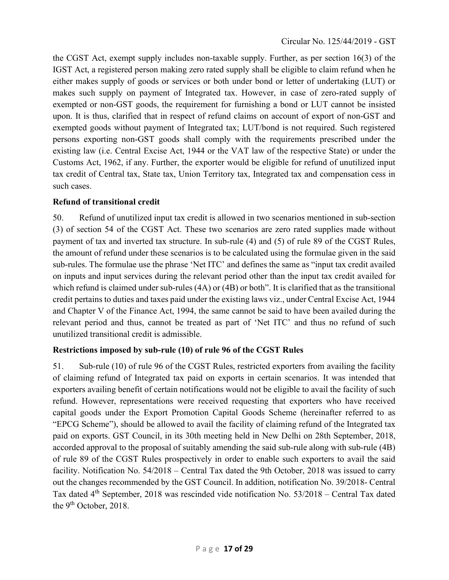the CGST Act, exempt supply includes non-taxable supply. Further, as per section 16(3) of the IGST Act, a registered person making zero rated supply shall be eligible to claim refund when he either makes supply of goods or services or both under bond or letter of undertaking (LUT) or makes such supply on payment of Integrated tax. However, in case of zero-rated supply of exempted or non-GST goods, the requirement for furnishing a bond or LUT cannot be insisted upon. It is thus, clarified that in respect of refund claims on account of export of non-GST and exempted goods without payment of Integrated tax; LUT/bond is not required. Such registered persons exporting non-GST goods shall comply with the requirements prescribed under the existing law (i.e. Central Excise Act, 1944 or the VAT law of the respective State) or under the Customs Act, 1962, if any. Further, the exporter would be eligible for refund of unutilized input tax credit of Central tax, State tax, Union Territory tax, Integrated tax and compensation cess in such cases.

### Refund of transitional credit

50. Refund of unutilized input tax credit is allowed in two scenarios mentioned in sub-section (3) of section 54 of the CGST Act. These two scenarios are zero rated supplies made without payment of tax and inverted tax structure. In sub-rule (4) and (5) of rule 89 of the CGST Rules, the amount of refund under these scenarios is to be calculated using the formulae given in the said sub-rules. The formulae use the phrase 'Net ITC' and defines the same as "input tax credit availed on inputs and input services during the relevant period other than the input tax credit availed for which refund is claimed under sub-rules (4A) or (4B) or both". It is clarified that as the transitional credit pertains to duties and taxes paid under the existing laws viz., under Central Excise Act, 1944 and Chapter V of the Finance Act, 1994, the same cannot be said to have been availed during the relevant period and thus, cannot be treated as part of 'Net ITC' and thus no refund of such unutilized transitional credit is admissible.

## Restrictions imposed by sub-rule (10) of rule 96 of the CGST Rules

51. Sub-rule (10) of rule 96 of the CGST Rules, restricted exporters from availing the facility of claiming refund of Integrated tax paid on exports in certain scenarios. It was intended that exporters availing benefit of certain notifications would not be eligible to avail the facility of such refund. However, representations were received requesting that exporters who have received capital goods under the Export Promotion Capital Goods Scheme (hereinafter referred to as "EPCG Scheme"), should be allowed to avail the facility of claiming refund of the Integrated tax paid on exports. GST Council, in its 30th meeting held in New Delhi on 28th September, 2018, accorded approval to the proposal of suitably amending the said sub-rule along with sub-rule (4B) of rule 89 of the CGST Rules prospectively in order to enable such exporters to avail the said facility. Notification No. 54/2018 – Central Tax dated the 9th October, 2018 was issued to carry out the changes recommended by the GST Council. In addition, notification No. 39/2018- Central Tax dated 4th September, 2018 was rescinded vide notification No. 53/2018 – Central Tax dated the 9<sup>th</sup> October, 2018.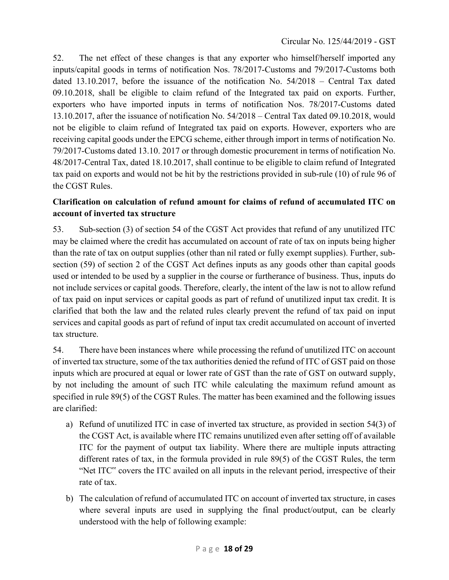52. The net effect of these changes is that any exporter who himself/herself imported any inputs/capital goods in terms of notification Nos. 78/2017-Customs and 79/2017-Customs both dated 13.10.2017, before the issuance of the notification No. 54/2018 – Central Tax dated 09.10.2018, shall be eligible to claim refund of the Integrated tax paid on exports. Further, exporters who have imported inputs in terms of notification Nos. 78/2017-Customs dated 13.10.2017, after the issuance of notification No. 54/2018 – Central Tax dated 09.10.2018, would not be eligible to claim refund of Integrated tax paid on exports. However, exporters who are receiving capital goods under the EPCG scheme, either through import in terms of notification No. 79/2017-Customs dated 13.10. 2017 or through domestic procurement in terms of notification No. 48/2017-Central Tax, dated 18.10.2017, shall continue to be eligible to claim refund of Integrated tax paid on exports and would not be hit by the restrictions provided in sub-rule (10) of rule 96 of the CGST Rules.

# Clarification on calculation of refund amount for claims of refund of accumulated ITC on account of inverted tax structure

53. Sub-section (3) of section 54 of the CGST Act provides that refund of any unutilized ITC may be claimed where the credit has accumulated on account of rate of tax on inputs being higher than the rate of tax on output supplies (other than nil rated or fully exempt supplies). Further, subsection (59) of section 2 of the CGST Act defines inputs as any goods other than capital goods used or intended to be used by a supplier in the course or furtherance of business. Thus, inputs do not include services or capital goods. Therefore, clearly, the intent of the law is not to allow refund of tax paid on input services or capital goods as part of refund of unutilized input tax credit. It is clarified that both the law and the related rules clearly prevent the refund of tax paid on input services and capital goods as part of refund of input tax credit accumulated on account of inverted tax structure.

54. There have been instances where while processing the refund of unutilized ITC on account of inverted tax structure, some of the tax authorities denied the refund of ITC of GST paid on those inputs which are procured at equal or lower rate of GST than the rate of GST on outward supply, by not including the amount of such ITC while calculating the maximum refund amount as specified in rule 89(5) of the CGST Rules. The matter has been examined and the following issues are clarified:

- a) Refund of unutilized ITC in case of inverted tax structure, as provided in section 54(3) of the CGST Act, is available where ITC remains unutilized even after setting off of available ITC for the payment of output tax liability. Where there are multiple inputs attracting different rates of tax, in the formula provided in rule 89(5) of the CGST Rules, the term "Net ITC" covers the ITC availed on all inputs in the relevant period, irrespective of their rate of tax.
- b) The calculation of refund of accumulated ITC on account of inverted tax structure, in cases where several inputs are used in supplying the final product/output, can be clearly understood with the help of following example: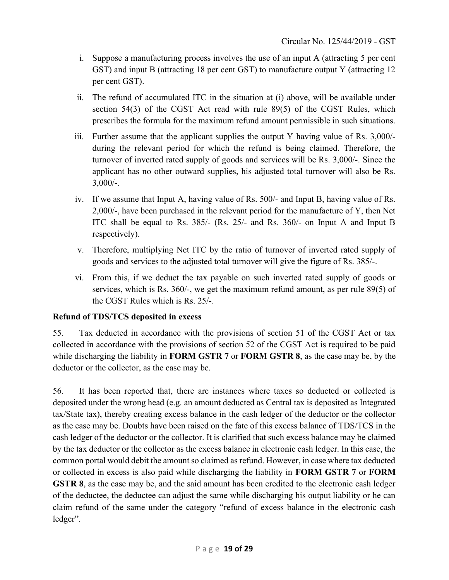- i. Suppose a manufacturing process involves the use of an input A (attracting 5 per cent GST) and input B (attracting 18 per cent GST) to manufacture output Y (attracting 12 per cent GST).
- ii. The refund of accumulated ITC in the situation at (i) above, will be available under section 54(3) of the CGST Act read with rule 89(5) of the CGST Rules, which prescribes the formula for the maximum refund amount permissible in such situations.
- iii. Further assume that the applicant supplies the output Y having value of Rs. 3,000/ during the relevant period for which the refund is being claimed. Therefore, the turnover of inverted rated supply of goods and services will be Rs. 3,000/-. Since the applicant has no other outward supplies, his adjusted total turnover will also be Rs.  $3,000/$ -.
- iv. If we assume that Input A, having value of Rs. 500/- and Input B, having value of Rs. 2,000/-, have been purchased in the relevant period for the manufacture of Y, then Net ITC shall be equal to Rs. 385/- (Rs. 25/- and Rs. 360/- on Input A and Input B respectively).
- v. Therefore, multiplying Net ITC by the ratio of turnover of inverted rated supply of goods and services to the adjusted total turnover will give the figure of Rs. 385/-.
- vi. From this, if we deduct the tax payable on such inverted rated supply of goods or services, which is Rs. 360/-, we get the maximum refund amount, as per rule 89(5) of the CGST Rules which is Rs. 25/-.

## Refund of TDS/TCS deposited in excess

55. Tax deducted in accordance with the provisions of section 51 of the CGST Act or tax collected in accordance with the provisions of section 52 of the CGST Act is required to be paid while discharging the liability in **FORM GSTR 7** or **FORM GSTR 8**, as the case may be, by the deductor or the collector, as the case may be.

56. It has been reported that, there are instances where taxes so deducted or collected is deposited under the wrong head (e.g. an amount deducted as Central tax is deposited as Integrated tax/State tax), thereby creating excess balance in the cash ledger of the deductor or the collector as the case may be. Doubts have been raised on the fate of this excess balance of TDS/TCS in the cash ledger of the deductor or the collector. It is clarified that such excess balance may be claimed by the tax deductor or the collector as the excess balance in electronic cash ledger. In this case, the common portal would debit the amount so claimed as refund. However, in case where tax deducted or collected in excess is also paid while discharging the liability in FORM GSTR 7 or FORM GSTR 8, as the case may be, and the said amount has been credited to the electronic cash ledger of the deductee, the deductee can adjust the same while discharging his output liability or he can claim refund of the same under the category "refund of excess balance in the electronic cash ledger".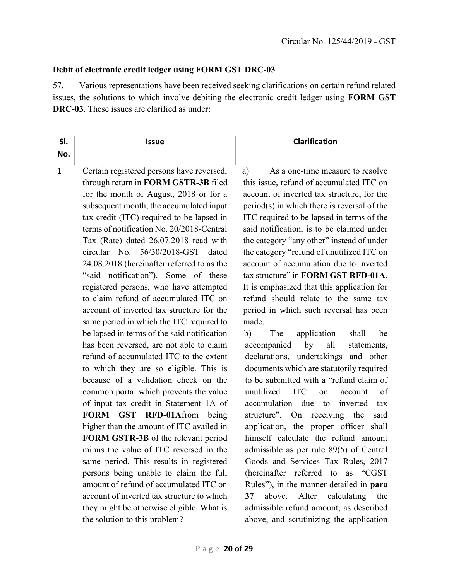# Debit of electronic credit ledger using FORM GST DRC-03

57. Various representations have been received seeking clarifications on certain refund related issues, the solutions to which involve debiting the electronic credit ledger using FORM GST DRC-03. These issues are clarified as under:

| SI.          | <b>Issue</b>                                                                                                                                                                                                                                                                                                                                                                                                                                                                                                                                                                                                                                                                                                                                                                                                                                                                                                                                                                                                                                    | <b>Clarification</b>                                                                                                                                                                                                                                                                                                                                                                                                                                                                                                                                                                                                                                                                                                                                                                                                                                                                                                                                                                                                                 |  |  |  |  |  |
|--------------|-------------------------------------------------------------------------------------------------------------------------------------------------------------------------------------------------------------------------------------------------------------------------------------------------------------------------------------------------------------------------------------------------------------------------------------------------------------------------------------------------------------------------------------------------------------------------------------------------------------------------------------------------------------------------------------------------------------------------------------------------------------------------------------------------------------------------------------------------------------------------------------------------------------------------------------------------------------------------------------------------------------------------------------------------|--------------------------------------------------------------------------------------------------------------------------------------------------------------------------------------------------------------------------------------------------------------------------------------------------------------------------------------------------------------------------------------------------------------------------------------------------------------------------------------------------------------------------------------------------------------------------------------------------------------------------------------------------------------------------------------------------------------------------------------------------------------------------------------------------------------------------------------------------------------------------------------------------------------------------------------------------------------------------------------------------------------------------------------|--|--|--|--|--|
| No.          |                                                                                                                                                                                                                                                                                                                                                                                                                                                                                                                                                                                                                                                                                                                                                                                                                                                                                                                                                                                                                                                 |                                                                                                                                                                                                                                                                                                                                                                                                                                                                                                                                                                                                                                                                                                                                                                                                                                                                                                                                                                                                                                      |  |  |  |  |  |
| $\mathbf{1}$ | Certain registered persons have reversed,<br>through return in FORM GSTR-3B filed<br>for the month of August, 2018 or for a<br>subsequent month, the accumulated input<br>tax credit (ITC) required to be lapsed in<br>terms of notification No. 20/2018-Central<br>Tax (Rate) dated 26.07.2018 read with<br>circular No. 56/30/2018-GST dated<br>24.08.2018 (hereinafter referred to as the<br>"said notification"). Some of these<br>registered persons, who have attempted<br>to claim refund of accumulated ITC on<br>account of inverted tax structure for the<br>same period in which the ITC required to<br>be lapsed in terms of the said notification<br>has been reversed, are not able to claim<br>refund of accumulated ITC to the extent<br>to which they are so eligible. This is<br>because of a validation check on the<br>common portal which prevents the value<br>of input tax credit in Statement 1A of<br>FORM GST RFD-01Afrom<br>being<br>higher than the amount of ITC availed in<br>FORM GSTR-3B of the relevant period | As a one-time measure to resolve<br>a)<br>this issue, refund of accumulated ITC on<br>account of inverted tax structure, for the<br>period(s) in which there is reversal of the<br>ITC required to be lapsed in terms of the<br>said notification, is to be claimed under<br>the category "any other" instead of under<br>the category "refund of unutilized ITC on<br>account of accumulation due to inverted<br>tax structure" in FORM GST RFD-01A.<br>It is emphasized that this application for<br>refund should relate to the same tax<br>period in which such reversal has been<br>made.<br>b)<br>The<br>application<br>be<br>shall<br>accompanied<br>by<br>all<br>statements,<br>declarations, undertakings and other<br>documents which are statutorily required<br>to be submitted with a "refund claim of<br>unutilized ITC<br>of<br>account<br>on<br>accumulation<br>due to<br>inverted<br>tax<br>structure". On receiving<br>said<br>the<br>application, the proper officer shall<br>himself calculate the refund amount |  |  |  |  |  |
|              | minus the value of ITC reversed in the<br>same period. This results in registered                                                                                                                                                                                                                                                                                                                                                                                                                                                                                                                                                                                                                                                                                                                                                                                                                                                                                                                                                               | admissible as per rule 89(5) of Central<br>Goods and Services Tax Rules, 2017                                                                                                                                                                                                                                                                                                                                                                                                                                                                                                                                                                                                                                                                                                                                                                                                                                                                                                                                                        |  |  |  |  |  |
|              | persons being unable to claim the full                                                                                                                                                                                                                                                                                                                                                                                                                                                                                                                                                                                                                                                                                                                                                                                                                                                                                                                                                                                                          | (hereinafter referred to as "CGST                                                                                                                                                                                                                                                                                                                                                                                                                                                                                                                                                                                                                                                                                                                                                                                                                                                                                                                                                                                                    |  |  |  |  |  |
|              | amount of refund of accumulated ITC on                                                                                                                                                                                                                                                                                                                                                                                                                                                                                                                                                                                                                                                                                                                                                                                                                                                                                                                                                                                                          | Rules"), in the manner detailed in para                                                                                                                                                                                                                                                                                                                                                                                                                                                                                                                                                                                                                                                                                                                                                                                                                                                                                                                                                                                              |  |  |  |  |  |
|              | account of inverted tax structure to which                                                                                                                                                                                                                                                                                                                                                                                                                                                                                                                                                                                                                                                                                                                                                                                                                                                                                                                                                                                                      | After<br>above.<br>calculating<br>37<br>the                                                                                                                                                                                                                                                                                                                                                                                                                                                                                                                                                                                                                                                                                                                                                                                                                                                                                                                                                                                          |  |  |  |  |  |
|              | they might be otherwise eligible. What is                                                                                                                                                                                                                                                                                                                                                                                                                                                                                                                                                                                                                                                                                                                                                                                                                                                                                                                                                                                                       | admissible refund amount, as described                                                                                                                                                                                                                                                                                                                                                                                                                                                                                                                                                                                                                                                                                                                                                                                                                                                                                                                                                                                               |  |  |  |  |  |
|              | the solution to this problem?                                                                                                                                                                                                                                                                                                                                                                                                                                                                                                                                                                                                                                                                                                                                                                                                                                                                                                                                                                                                                   | above, and scrutinizing the application                                                                                                                                                                                                                                                                                                                                                                                                                                                                                                                                                                                                                                                                                                                                                                                                                                                                                                                                                                                              |  |  |  |  |  |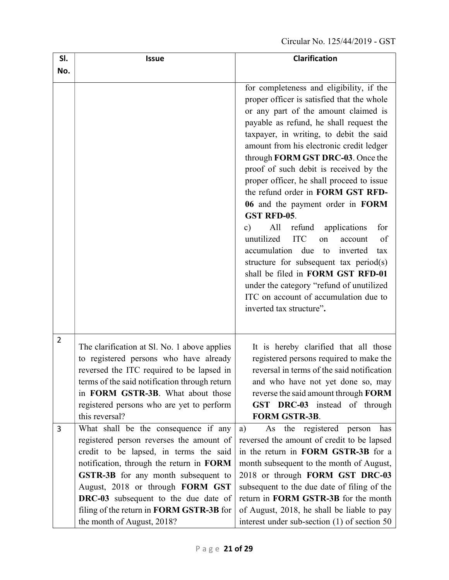| SI.            | <b>Issue</b>                                                                                                                                                                                                                                                                                                                                                               | <b>Clarification</b>                                                                                                                                                                                                                                                                                                                                                                                                                                                                                                                                                                                                                                                                                                                                                                                                                          |
|----------------|----------------------------------------------------------------------------------------------------------------------------------------------------------------------------------------------------------------------------------------------------------------------------------------------------------------------------------------------------------------------------|-----------------------------------------------------------------------------------------------------------------------------------------------------------------------------------------------------------------------------------------------------------------------------------------------------------------------------------------------------------------------------------------------------------------------------------------------------------------------------------------------------------------------------------------------------------------------------------------------------------------------------------------------------------------------------------------------------------------------------------------------------------------------------------------------------------------------------------------------|
| No.            |                                                                                                                                                                                                                                                                                                                                                                            |                                                                                                                                                                                                                                                                                                                                                                                                                                                                                                                                                                                                                                                                                                                                                                                                                                               |
|                |                                                                                                                                                                                                                                                                                                                                                                            | for completeness and eligibility, if the<br>proper officer is satisfied that the whole<br>or any part of the amount claimed is<br>payable as refund, he shall request the<br>taxpayer, in writing, to debit the said<br>amount from his electronic credit ledger<br>through FORM GST DRC-03. Once the<br>proof of such debit is received by the<br>proper officer, he shall proceed to issue<br>the refund order in FORM GST RFD-<br>06 and the payment order in FORM<br>GST RFD-05.<br>for<br>All<br>$\mathbf{c})$<br>refund<br>applications<br>unutilized<br><b>ITC</b><br>of<br>account<br>on<br>accumulation due<br>to<br>inverted<br>tax<br>structure for subsequent tax period(s)<br>shall be filed in FORM GST RFD-01<br>under the category "refund of unutilized<br>ITC on account of accumulation due to<br>inverted tax structure". |
| $\overline{2}$ | The clarification at Sl. No. 1 above applies<br>to registered persons who have already<br>reversed the ITC required to be lapsed in<br>terms of the said notification through return<br>in FORM GSTR-3B. What about those<br>registered persons who are yet to perform<br>this reversal?                                                                                   | It is hereby clarified that all those<br>registered persons required to make the<br>reversal in terms of the said notification<br>and who have not yet done so, may<br>reverse the said amount through FORM<br>GST DRC-03 instead of through<br><b>FORM GSTR-3B.</b>                                                                                                                                                                                                                                                                                                                                                                                                                                                                                                                                                                          |
| 3              | What shall be the consequence if any<br>registered person reverses the amount of<br>credit to be lapsed, in terms the said<br>notification, through the return in FORM<br><b>GSTR-3B</b> for any month subsequent to<br>August, 2018 or through FORM GST<br>DRC-03 subsequent to the due date of<br>filing of the return in FORM GSTR-3B for<br>the month of August, 2018? | the registered person<br>has<br>a)<br>As<br>reversed the amount of credit to be lapsed<br>in the return in FORM GSTR-3B for a<br>month subsequent to the month of August,<br>2018 or through FORM GST DRC-03<br>subsequent to the due date of filing of the<br>return in FORM GSTR-3B for the month<br>of August, 2018, he shall be liable to pay<br>interest under sub-section $(1)$ of section 50                                                                                                                                                                                                                                                                                                                                                                                                                                           |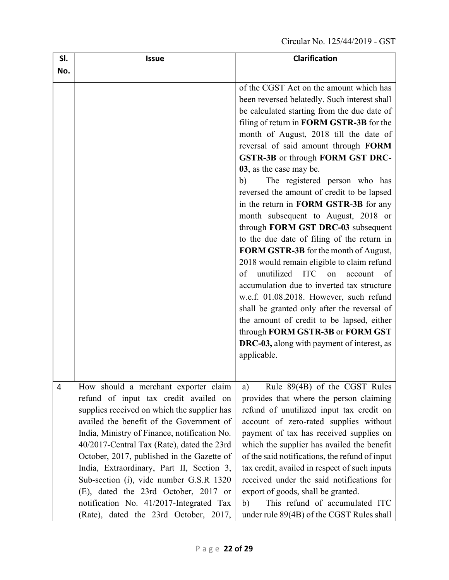| SI. | <b>Issue</b>                                                                                                                                                                                                                                                                                                                                                                                                                                                                                                                             | <b>Clarification</b>                                                                                                                                                                                                                                                                                                                                                                                                                                                                                                                                                                                                                                                                                                                                                                                                                                                                                                                                                                                                                       |
|-----|------------------------------------------------------------------------------------------------------------------------------------------------------------------------------------------------------------------------------------------------------------------------------------------------------------------------------------------------------------------------------------------------------------------------------------------------------------------------------------------------------------------------------------------|--------------------------------------------------------------------------------------------------------------------------------------------------------------------------------------------------------------------------------------------------------------------------------------------------------------------------------------------------------------------------------------------------------------------------------------------------------------------------------------------------------------------------------------------------------------------------------------------------------------------------------------------------------------------------------------------------------------------------------------------------------------------------------------------------------------------------------------------------------------------------------------------------------------------------------------------------------------------------------------------------------------------------------------------|
| No. |                                                                                                                                                                                                                                                                                                                                                                                                                                                                                                                                          |                                                                                                                                                                                                                                                                                                                                                                                                                                                                                                                                                                                                                                                                                                                                                                                                                                                                                                                                                                                                                                            |
|     |                                                                                                                                                                                                                                                                                                                                                                                                                                                                                                                                          | of the CGST Act on the amount which has<br>been reversed belatedly. Such interest shall<br>be calculated starting from the due date of<br>filing of return in FORM GSTR-3B for the<br>month of August, 2018 till the date of<br>reversal of said amount through FORM<br>GSTR-3B or through FORM GST DRC-<br>03, as the case may be.<br>The registered person who has<br>b)<br>reversed the amount of credit to be lapsed<br>in the return in FORM GSTR-3B for any<br>month subsequent to August, 2018 or<br>through FORM GST DRC-03 subsequent<br>to the due date of filing of the return in<br>FORM GSTR-3B for the month of August,<br>2018 would remain eligible to claim refund<br>unutilized<br>of<br><b>ITC</b><br>account<br>of<br>on<br>accumulation due to inverted tax structure<br>w.e.f. 01.08.2018. However, such refund<br>shall be granted only after the reversal of<br>the amount of credit to be lapsed, either<br>through FORM GSTR-3B or FORM GST<br><b>DRC-03</b> , along with payment of interest, as<br>applicable. |
| 4   | How should a merchant exporter claim<br>refund of input tax credit availed on<br>supplies received on which the supplier has<br>availed the benefit of the Government of<br>India, Ministry of Finance, notification No.<br>40/2017-Central Tax (Rate), dated the 23rd<br>October, 2017, published in the Gazette of<br>India, Extraordinary, Part II, Section 3,<br>Sub-section (i), vide number G.S.R 1320<br>(E), dated the 23rd October, 2017 or<br>notification No. 41/2017-Integrated Tax<br>(Rate), dated the 23rd October, 2017, | Rule 89(4B) of the CGST Rules<br>a)<br>provides that where the person claiming<br>refund of unutilized input tax credit on<br>account of zero-rated supplies without<br>payment of tax has received supplies on<br>which the supplier has availed the benefit<br>of the said notifications, the refund of input<br>tax credit, availed in respect of such inputs<br>received under the said notifications for<br>export of goods, shall be granted.<br>This refund of accumulated ITC<br>b)<br>under rule 89(4B) of the CGST Rules shall                                                                                                                                                                                                                                                                                                                                                                                                                                                                                                   |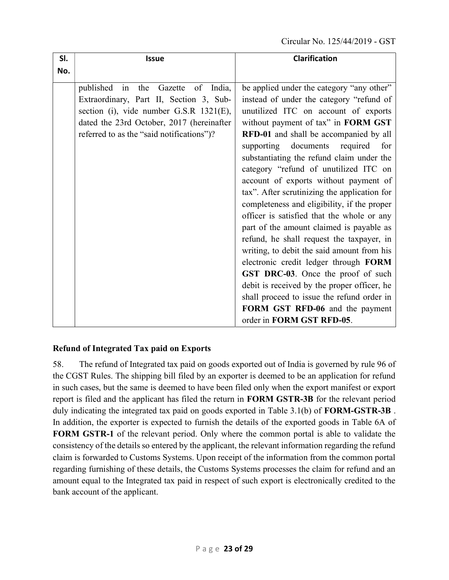| SI. | <b>Issue</b>                                                                                                                                                                                                                      | <b>Clarification</b>                                                                                                                                                                                                                                                                                                                                                                                                                                                                                                                                                                                                                                                                                                  |
|-----|-----------------------------------------------------------------------------------------------------------------------------------------------------------------------------------------------------------------------------------|-----------------------------------------------------------------------------------------------------------------------------------------------------------------------------------------------------------------------------------------------------------------------------------------------------------------------------------------------------------------------------------------------------------------------------------------------------------------------------------------------------------------------------------------------------------------------------------------------------------------------------------------------------------------------------------------------------------------------|
| No. |                                                                                                                                                                                                                                   |                                                                                                                                                                                                                                                                                                                                                                                                                                                                                                                                                                                                                                                                                                                       |
|     | published<br>Gazette<br>India,<br>in<br>the<br>of<br>Extraordinary, Part II, Section 3, Sub-<br>section (i), vide number G.S.R 1321(E),<br>dated the 23rd October, 2017 (hereinafter<br>referred to as the "said notifications")? | be applied under the category "any other"<br>instead of under the category "refund of<br>unutilized ITC on account of exports<br>without payment of tax" in FORM GST<br>RFD-01 and shall be accompanied by all<br>supporting documents<br>required<br>for<br>substantiating the refund claim under the<br>category "refund of unutilized ITC on<br>account of exports without payment of<br>tax". After scrutinizing the application for<br>completeness and eligibility, if the proper<br>officer is satisfied that the whole or any<br>part of the amount claimed is payable as<br>refund, he shall request the taxpayer, in<br>writing, to debit the said amount from his<br>electronic credit ledger through FORM |
|     |                                                                                                                                                                                                                                   | GST DRC-03. Once the proof of such<br>debit is received by the proper officer, he                                                                                                                                                                                                                                                                                                                                                                                                                                                                                                                                                                                                                                     |
|     |                                                                                                                                                                                                                                   | shall proceed to issue the refund order in                                                                                                                                                                                                                                                                                                                                                                                                                                                                                                                                                                                                                                                                            |
|     |                                                                                                                                                                                                                                   | FORM GST RFD-06 and the payment<br>order in FORM GST RFD-05.                                                                                                                                                                                                                                                                                                                                                                                                                                                                                                                                                                                                                                                          |

## Refund of Integrated Tax paid on Exports

58. The refund of Integrated tax paid on goods exported out of India is governed by rule 96 of the CGST Rules. The shipping bill filed by an exporter is deemed to be an application for refund in such cases, but the same is deemed to have been filed only when the export manifest or export report is filed and the applicant has filed the return in FORM GSTR-3B for the relevant period duly indicating the integrated tax paid on goods exported in Table 3.1(b) of FORM-GSTR-3B. In addition, the exporter is expected to furnish the details of the exported goods in Table 6A of FORM GSTR-1 of the relevant period. Only where the common portal is able to validate the consistency of the details so entered by the applicant, the relevant information regarding the refund claim is forwarded to Customs Systems. Upon receipt of the information from the common portal regarding furnishing of these details, the Customs Systems processes the claim for refund and an amount equal to the Integrated tax paid in respect of such export is electronically credited to the bank account of the applicant.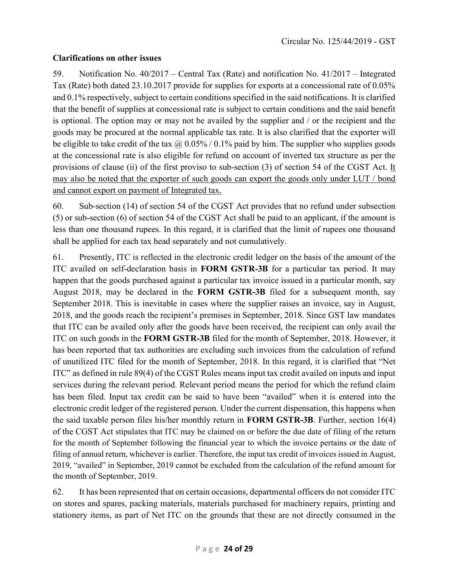## Clarifications on other issues

59. Notification No. 40/2017 – Central Tax (Rate) and notification No. 41/2017 – Integrated Tax (Rate) both dated 23.10.2017 provide for supplies for exports at a concessional rate of 0.05% and 0.1% respectively, subject to certain conditions specified in the said notifications. It is clarified that the benefit of supplies at concessional rate is subject to certain conditions and the said benefit is optional. The option may or may not be availed by the supplier and / or the recipient and the goods may be procured at the normal applicable tax rate. It is also clarified that the exporter will be eligible to take credit of the tax  $\omega$  0.05% / 0.1% paid by him. The supplier who supplies goods at the concessional rate is also eligible for refund on account of inverted tax structure as per the provisions of clause (ii) of the first proviso to sub-section (3) of section 54 of the CGST Act. It may also be noted that the exporter of such goods can export the goods only under LUT / bond and cannot export on payment of Integrated tax.

60. Sub-section (14) of section 54 of the CGST Act provides that no refund under subsection (5) or sub-section (6) of section 54 of the CGST Act shall be paid to an applicant, if the amount is less than one thousand rupees. In this regard, it is clarified that the limit of rupees one thousand shall be applied for each tax head separately and not cumulatively.

61. Presently, ITC is reflected in the electronic credit ledger on the basis of the amount of the ITC availed on self-declaration basis in FORM GSTR-3B for a particular tax period. It may happen that the goods purchased against a particular tax invoice issued in a particular month, say August 2018, may be declared in the FORM GSTR-3B filed for a subsequent month, say September 2018. This is inevitable in cases where the supplier raises an invoice, say in August, 2018, and the goods reach the recipient's premises in September, 2018. Since GST law mandates that ITC can be availed only after the goods have been received, the recipient can only avail the ITC on such goods in the FORM GSTR-3B filed for the month of September, 2018. However, it has been reported that tax authorities are excluding such invoices from the calculation of refund of unutilized ITC filed for the month of September, 2018. In this regard, it is clarified that "Net ITC" as defined in rule 89(4) of the CGST Rules means input tax credit availed on inputs and input services during the relevant period. Relevant period means the period for which the refund claim has been filed. Input tax credit can be said to have been "availed" when it is entered into the electronic credit ledger of the registered person. Under the current dispensation, this happens when the said taxable person files his/her monthly return in FORM GSTR-3B. Further, section 16(4) of the CGST Act stipulates that ITC may be claimed on or before the due date of filing of the return for the month of September following the financial year to which the invoice pertains or the date of filing of annual return, whichever is earlier. Therefore, the input tax credit of invoices issued in August, 2019, "availed" in September, 2019 cannot be excluded from the calculation of the refund amount for the month of September, 2019.

62. It has been represented that on certain occasions, departmental officers do not consider ITC on stores and spares, packing materials, materials purchased for machinery repairs, printing and stationery items, as part of Net ITC on the grounds that these are not directly consumed in the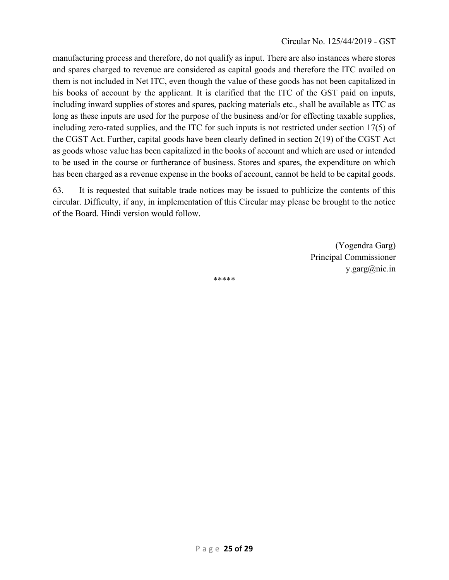manufacturing process and therefore, do not qualify as input. There are also instances where stores and spares charged to revenue are considered as capital goods and therefore the ITC availed on them is not included in Net ITC, even though the value of these goods has not been capitalized in his books of account by the applicant. It is clarified that the ITC of the GST paid on inputs, including inward supplies of stores and spares, packing materials etc., shall be available as ITC as long as these inputs are used for the purpose of the business and/or for effecting taxable supplies, including zero-rated supplies, and the ITC for such inputs is not restricted under section 17(5) of the CGST Act. Further, capital goods have been clearly defined in section 2(19) of the CGST Act as goods whose value has been capitalized in the books of account and which are used or intended to be used in the course or furtherance of business. Stores and spares, the expenditure on which has been charged as a revenue expense in the books of account, cannot be held to be capital goods.

63. It is requested that suitable trade notices may be issued to publicize the contents of this circular. Difficulty, if any, in implementation of this Circular may please be brought to the notice of the Board. Hindi version would follow.

> (Yogendra Garg) Principal Commissioner y.garg@nic.in

\*\*\*\*\*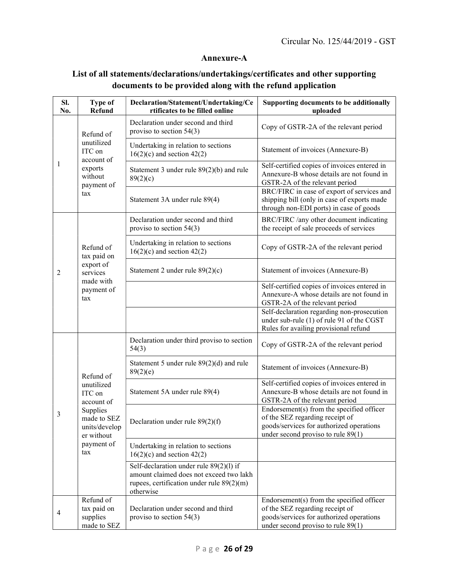## Annexure-A

# List of all statements/declarations/undertakings/certificates and other supporting documents to be provided along with the refund application

| Sl.<br>No. | <b>Type of</b><br><b>Refund</b>                                                                                                | Declaration/Statement/Undertaking/Ce<br>rtificates to be filled online                                                                         | Supporting documents to be additionally<br>uploaded                                                                                                              |  |  |  |  |
|------------|--------------------------------------------------------------------------------------------------------------------------------|------------------------------------------------------------------------------------------------------------------------------------------------|------------------------------------------------------------------------------------------------------------------------------------------------------------------|--|--|--|--|
|            | Refund of                                                                                                                      | Declaration under second and third<br>proviso to section $54(3)$                                                                               | Copy of GSTR-2A of the relevant period                                                                                                                           |  |  |  |  |
| 1          | unutilized<br>ITC on<br>account of<br>exports<br>without<br>payment of<br>tax                                                  | Undertaking in relation to sections<br>$16(2)(c)$ and section 42(2)                                                                            | Statement of invoices (Annexure-B)                                                                                                                               |  |  |  |  |
|            |                                                                                                                                | Statement 3 under rule $89(2)(b)$ and rule<br>89(2)(c)                                                                                         | Self-certified copies of invoices entered in<br>Annexure-B whose details are not found in<br>GSTR-2A of the relevant period                                      |  |  |  |  |
|            |                                                                                                                                | Statement 3A under rule 89(4)                                                                                                                  | BRC/FIRC in case of export of services and<br>shipping bill (only in case of exports made<br>through non-EDI ports) in case of goods                             |  |  |  |  |
|            |                                                                                                                                | Declaration under second and third<br>proviso to section $54(3)$                                                                               | BRC/FIRC /any other document indicating<br>the receipt of sale proceeds of services                                                                              |  |  |  |  |
|            | Refund of<br>tax paid on<br>export of<br>services<br>made with<br>payment of<br>tax                                            | Undertaking in relation to sections<br>$16(2)(c)$ and section 42(2)                                                                            | Copy of GSTR-2A of the relevant period                                                                                                                           |  |  |  |  |
| 2          |                                                                                                                                | Statement 2 under rule 89(2)(c)                                                                                                                | Statement of invoices (Annexure-B)                                                                                                                               |  |  |  |  |
|            |                                                                                                                                |                                                                                                                                                | Self-certified copies of invoices entered in<br>Annexure-A whose details are not found in<br>GSTR-2A of the relevant period                                      |  |  |  |  |
|            |                                                                                                                                |                                                                                                                                                | Self-declaration regarding non-prosecution<br>under sub-rule (1) of rule 91 of the CGST<br>Rules for availing provisional refund                                 |  |  |  |  |
|            |                                                                                                                                | Declaration under third proviso to section<br>54(3)                                                                                            | Copy of GSTR-2A of the relevant period                                                                                                                           |  |  |  |  |
|            | Refund of<br>unutilized<br>ITC on<br>account of<br>Supplies<br>made to SEZ<br>units/develop<br>er without<br>payment of<br>tax | Statement 5 under rule $89(2)(d)$ and rule<br>89(2)(e)                                                                                         | Statement of invoices (Annexure-B)                                                                                                                               |  |  |  |  |
|            |                                                                                                                                | Statement 5A under rule 89(4)                                                                                                                  | Self-certified copies of invoices entered in<br>Annexure-B whose details are not found in<br>GSTR-2A of the relevant period                                      |  |  |  |  |
| 3          |                                                                                                                                | Declaration under rule $89(2)(f)$                                                                                                              | Endorsement(s) from the specified officer<br>of the SEZ regarding receipt of<br>goods/services for authorized operations<br>under second proviso to rule $89(1)$ |  |  |  |  |
|            |                                                                                                                                | Undertaking in relation to sections<br>$16(2)(c)$ and section 42(2)                                                                            |                                                                                                                                                                  |  |  |  |  |
|            |                                                                                                                                | Self-declaration under rule 89(2)(1) if<br>amount claimed does not exceed two lakh<br>rupees, certification under rule $89(2)(m)$<br>otherwise |                                                                                                                                                                  |  |  |  |  |
| 4          | Refund of<br>tax paid on<br>supplies<br>made to SEZ                                                                            | Declaration under second and third<br>proviso to section $54(3)$                                                                               | Endorsement(s) from the specified officer<br>of the SEZ regarding receipt of<br>goods/services for authorized operations<br>under second proviso to rule $89(1)$ |  |  |  |  |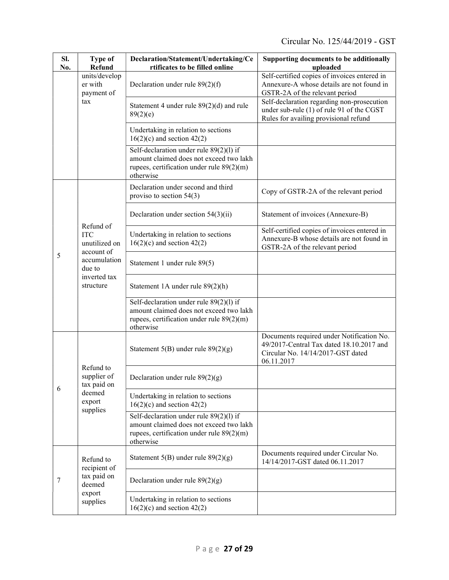| SI.<br>No. | <b>Type of</b><br>Refund                               | Declaration/Statement/Undertaking/Ce<br>rtificates to be filled online                                                                         | Supporting documents to be additionally<br>uploaded                                                                                      |  |  |  |  |
|------------|--------------------------------------------------------|------------------------------------------------------------------------------------------------------------------------------------------------|------------------------------------------------------------------------------------------------------------------------------------------|--|--|--|--|
|            | units/develop<br>er with<br>payment of                 | Declaration under rule $89(2)(f)$                                                                                                              | Self-certified copies of invoices entered in<br>Annexure-A whose details are not found in<br>GSTR-2A of the relevant period              |  |  |  |  |
|            | tax                                                    | Statement 4 under rule 89(2)(d) and rule<br>89(2)(e)                                                                                           | Self-declaration regarding non-prosecution<br>under sub-rule (1) of rule 91 of the CGST<br>Rules for availing provisional refund         |  |  |  |  |
|            |                                                        | Undertaking in relation to sections<br>$16(2)(c)$ and section 42(2)                                                                            |                                                                                                                                          |  |  |  |  |
|            |                                                        | Self-declaration under rule 89(2)(l) if<br>amount claimed does not exceed two lakh<br>rupees, certification under rule $89(2)(m)$<br>otherwise |                                                                                                                                          |  |  |  |  |
|            |                                                        | Declaration under second and third<br>proviso to section 54(3)                                                                                 | Copy of GSTR-2A of the relevant period                                                                                                   |  |  |  |  |
|            |                                                        | Declaration under section $54(3)(ii)$                                                                                                          | Statement of invoices (Annexure-B)                                                                                                       |  |  |  |  |
|            | Refund of<br><b>ITC</b><br>unutilized on<br>account of | Undertaking in relation to sections<br>$16(2)(c)$ and section 42(2)                                                                            | Self-certified copies of invoices entered in<br>Annexure-B whose details are not found in<br>GSTR-2A of the relevant period              |  |  |  |  |
| 5          | accumulation<br>due to                                 | Statement 1 under rule 89(5)                                                                                                                   |                                                                                                                                          |  |  |  |  |
|            | inverted tax<br>structure                              | Statement 1A under rule 89(2)(h)                                                                                                               |                                                                                                                                          |  |  |  |  |
|            |                                                        | Self-declaration under rule 89(2)(1) if<br>amount claimed does not exceed two lakh<br>rupees, certification under rule $89(2)(m)$<br>otherwise |                                                                                                                                          |  |  |  |  |
|            |                                                        | Statement $5(B)$ under rule $89(2)(g)$                                                                                                         | Documents required under Notification No.<br>49/2017-Central Tax dated 18.10.2017 and<br>Circular No. 14/14/2017-GST dated<br>06.11.2017 |  |  |  |  |
|            | Refund to<br>supplier of<br>tax paid on                | Declaration under rule $89(2)(g)$                                                                                                              |                                                                                                                                          |  |  |  |  |
| 6          | deemed<br>export<br>supplies                           | Undertaking in relation to sections<br>$16(2)(c)$ and section 42(2)                                                                            |                                                                                                                                          |  |  |  |  |
|            |                                                        | Self-declaration under rule 89(2)(l) if<br>amount claimed does not exceed two lakh<br>rupees, certification under rule $89(2)(m)$<br>otherwise |                                                                                                                                          |  |  |  |  |
| 7          | Refund to<br>recipient of                              | Statement $5(B)$ under rule $89(2)(g)$                                                                                                         | Documents required under Circular No.<br>14/14/2017-GST dated 06.11.2017                                                                 |  |  |  |  |
|            | tax paid on<br>deemed                                  | Declaration under rule $89(2)(g)$                                                                                                              |                                                                                                                                          |  |  |  |  |
|            | export<br>supplies                                     | Undertaking in relation to sections<br>$16(2)(c)$ and section 42(2)                                                                            |                                                                                                                                          |  |  |  |  |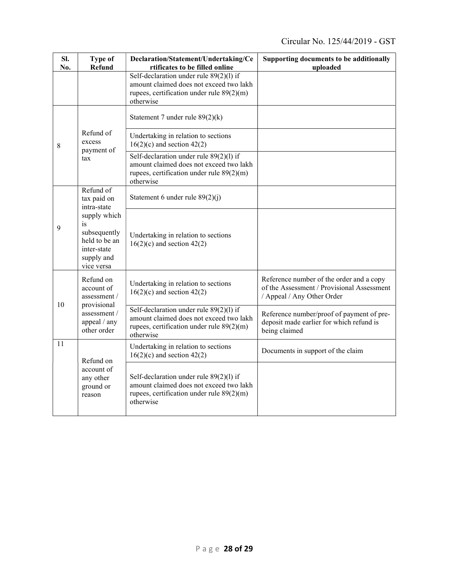| SI.<br>No. | <b>Type of</b><br><b>Refund</b>                                                                | Declaration/Statement/Undertaking/Ce<br>rtificates to be filled online                                                                           | Supporting documents to be additionally<br>uploaded                                                                  |  |  |  |  |
|------------|------------------------------------------------------------------------------------------------|--------------------------------------------------------------------------------------------------------------------------------------------------|----------------------------------------------------------------------------------------------------------------------|--|--|--|--|
|            |                                                                                                | Self-declaration under rule $89(2)(1)$ if<br>amount claimed does not exceed two lakh<br>rupees, certification under rule $89(2)(m)$<br>otherwise |                                                                                                                      |  |  |  |  |
| 8          |                                                                                                | Statement 7 under rule $89(2)(k)$                                                                                                                |                                                                                                                      |  |  |  |  |
|            | Refund of<br>excess<br>payment of<br>tax                                                       | Undertaking in relation to sections<br>$16(2)(c)$ and section 42(2)                                                                              |                                                                                                                      |  |  |  |  |
|            |                                                                                                | Self-declaration under rule $89(2)(1)$ if<br>amount claimed does not exceed two lakh<br>rupees, certification under rule $89(2)(m)$<br>otherwise |                                                                                                                      |  |  |  |  |
|            | Refund of<br>tax paid on<br>intra-state                                                        | Statement 6 under rule 89(2)(j)                                                                                                                  |                                                                                                                      |  |  |  |  |
| 9          | supply which<br>is<br>subsequently<br>held to be an<br>inter-state<br>supply and<br>vice versa | Undertaking in relation to sections<br>$16(2)(c)$ and section 42(2)                                                                              |                                                                                                                      |  |  |  |  |
|            | Refund on<br>account of<br>assessment /                                                        | Undertaking in relation to sections<br>$16(2)(c)$ and section 42(2)                                                                              | Reference number of the order and a copy<br>of the Assessment / Provisional Assessment<br>/ Appeal / Any Other Order |  |  |  |  |
| 10         | provisional<br>assessment /<br>appeal / any<br>other order                                     | Self-declaration under rule 89(2)(1) if<br>amount claimed does not exceed two lakh<br>rupees, certification under rule $89(2)(m)$<br>otherwise   | Reference number/proof of payment of pre-<br>deposit made earlier for which refund is<br>being claimed               |  |  |  |  |
| 11         | Refund on                                                                                      | Undertaking in relation to sections<br>$16(2)(c)$ and section 42(2)                                                                              | Documents in support of the claim                                                                                    |  |  |  |  |
|            | account of<br>any other<br>ground or<br>reason                                                 | Self-declaration under rule $89(2)(1)$ if<br>amount claimed does not exceed two lakh<br>rupees, certification under rule 89(2)(m)<br>otherwise   |                                                                                                                      |  |  |  |  |